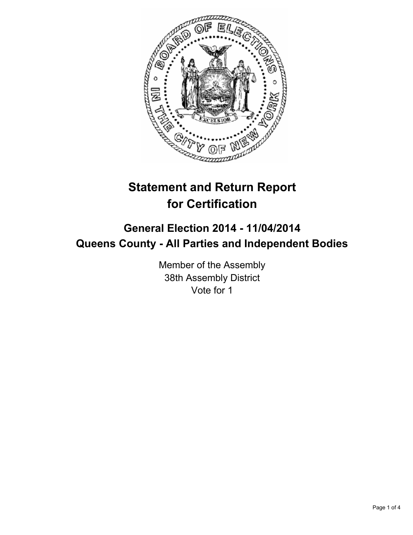

# **Statement and Return Report for Certification**

## **General Election 2014 - 11/04/2014 Queens County - All Parties and Independent Bodies**

Member of the Assembly 38th Assembly District Vote for 1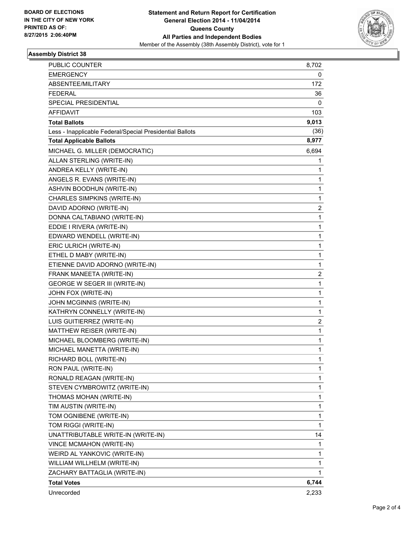

#### **Assembly District 38**

| WEIRD AL YANKOVIC (WRITE-IN)<br>WILLIAM WILLHELM (WRITE-IN) | 1<br>1                  |
|-------------------------------------------------------------|-------------------------|
| <b>VINCE MCMAHON (WRITE-IN)</b>                             | 1                       |
| UNATTRIBUTABLE WRITE-IN (WRITE-IN)                          | 14                      |
| TOM RIGGI (WRITE-IN)                                        | 1                       |
| TOM OGNIBENE (WRITE-IN)                                     | 1                       |
| TIM AUSTIN (WRITE-IN)                                       | 1                       |
| THOMAS MOHAN (WRITE-IN)                                     | 1                       |
| STEVEN CYMBROWITZ (WRITE-IN)                                | 1                       |
| RONALD REAGAN (WRITE-IN)                                    | 1                       |
| RON PAUL (WRITE-IN)                                         | 1                       |
| RICHARD BOLL (WRITE-IN)                                     | 1                       |
| MICHAEL MANETTA (WRITE-IN)                                  | 1                       |
| MICHAEL BLOOMBERG (WRITE-IN)                                | 1                       |
| MATTHEW REISER (WRITE-IN)                                   | 1                       |
|                                                             |                         |
| KATHRYN CONNELLY (WRITE-IN)<br>LUIS GUITIERREZ (WRITE-IN)   | $\overline{\mathbf{c}}$ |
| JOHN MCGINNIS (WRITE-IN)                                    | 1                       |
|                                                             | 1                       |
| JOHN FOX (WRITE-IN)                                         | 1                       |
| GEORGE W SEGER III (WRITE-IN)                               | 1                       |
| FRANK MANEETA (WRITE-IN)                                    | 2                       |
| ETIENNE DAVID ADORNO (WRITE-IN)                             | 1                       |
| ETHEL D MABY (WRITE-IN)                                     | 1                       |
| ERIC ULRICH (WRITE-IN)                                      | 1                       |
| EDWARD WENDELL (WRITE-IN)                                   | 1                       |
| EDDIE I RIVERA (WRITE-IN)                                   | 1                       |
| DONNA CALTABIANO (WRITE-IN)                                 | 1                       |
| DAVID ADORNO (WRITE-IN)                                     | 2                       |
| CHARLES SIMPKINS (WRITE-IN)                                 | 1                       |
| ASHVIN BOODHUN (WRITE-IN)                                   | 1                       |
| ANGELS R. EVANS (WRITE-IN)                                  | 1                       |
| ANDREA KELLY (WRITE-IN)                                     | 1                       |
| ALLAN STERLING (WRITE-IN)                                   | 1                       |
| MICHAEL G. MILLER (DEMOCRATIC)                              | 6,694                   |
| <b>Total Applicable Ballots</b>                             | 8,977                   |
| Less - Inapplicable Federal/Special Presidential Ballots    | (36)                    |
| <b>Total Ballots</b>                                        | 9,013                   |
| <b>AFFIDAVIT</b>                                            | 103                     |
| <b>SPECIAL PRESIDENTIAL</b>                                 | 0                       |
| <b>FEDERAL</b>                                              | 36                      |
| ABSENTEE/MILITARY                                           | 172                     |
| <b>EMERGENCY</b>                                            | 0                       |
| PUBLIC COUNTER                                              | 8,702                   |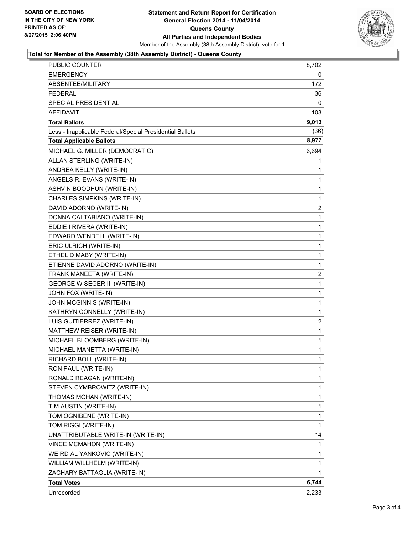

#### **Total for Member of the Assembly (38th Assembly District) - Queens County**

| <b>Total Votes</b>                                       | 6,744        |
|----------------------------------------------------------|--------------|
| ZACHARY BATTAGLIA (WRITE-IN)                             | 1            |
| WILLIAM WILLHELM (WRITE-IN)                              | 1            |
| WEIRD AL YANKOVIC (WRITE-IN)                             | 1            |
| <b>VINCE MCMAHON (WRITE-IN)</b>                          | 1            |
| UNATTRIBUTABLE WRITE-IN (WRITE-IN)                       | 14           |
| TOM RIGGI (WRITE-IN)                                     | 1            |
| TOM OGNIBENE (WRITE-IN)                                  | 1            |
| TIM AUSTIN (WRITE-IN)                                    | 1            |
| THOMAS MOHAN (WRITE-IN)                                  | 1            |
| STEVEN CYMBROWITZ (WRITE-IN)                             | 1            |
| RONALD REAGAN (WRITE-IN)                                 | 1            |
| RON PAUL (WRITE-IN)                                      | 1            |
| RICHARD BOLL (WRITE-IN)                                  | $\mathbf{1}$ |
| MICHAEL MANETTA (WRITE-IN)                               | 1            |
| MICHAEL BLOOMBERG (WRITE-IN)                             | 1            |
| MATTHEW REISER (WRITE-IN)                                | 1            |
| LUIS GUITIERREZ (WRITE-IN)                               | 2            |
| KATHRYN CONNELLY (WRITE-IN)                              | 1            |
| JOHN MCGINNIS (WRITE-IN)                                 | $\mathbf 1$  |
| JOHN FOX (WRITE-IN)                                      | 1            |
| GEORGE W SEGER III (WRITE-IN)                            | 1            |
| FRANK MANEETA (WRITE-IN)                                 | 2            |
| ETIENNE DAVID ADORNO (WRITE-IN)                          | 1            |
| ETHEL D MABY (WRITE-IN)                                  | 1            |
| ERIC ULRICH (WRITE-IN)                                   | $\mathbf 1$  |
| EDWARD WENDELL (WRITE-IN)                                | 1            |
| EDDIE I RIVERA (WRITE-IN)                                | 1            |
| DONNA CALTABIANO (WRITE-IN)                              | 1            |
| DAVID ADORNO (WRITE-IN)                                  | 2            |
| CHARLES SIMPKINS (WRITE-IN)                              | 1            |
| ASHVIN BOODHUN (WRITE-IN)                                | $\mathbf 1$  |
| ANGELS R. EVANS (WRITE-IN)                               | 1            |
| ANDREA KELLY (WRITE-IN)                                  | 1            |
| ALLAN STERLING (WRITE-IN)                                | 1            |
| MICHAEL G. MILLER (DEMOCRATIC)                           | 6,694        |
| <b>Total Applicable Ballots</b>                          | 8,977        |
| Less - Inapplicable Federal/Special Presidential Ballots | (36)         |
| <b>Total Ballots</b>                                     | 9,013        |
| AFFIDAVIT                                                | 103          |
| SPECIAL PRESIDENTIAL                                     | 0            |
| <b>FEDERAL</b>                                           | 36           |
| ABSENTEE/MILITARY                                        | 172          |
| <b>EMERGENCY</b>                                         | 0            |
| PUBLIC COUNTER                                           | 8,702        |